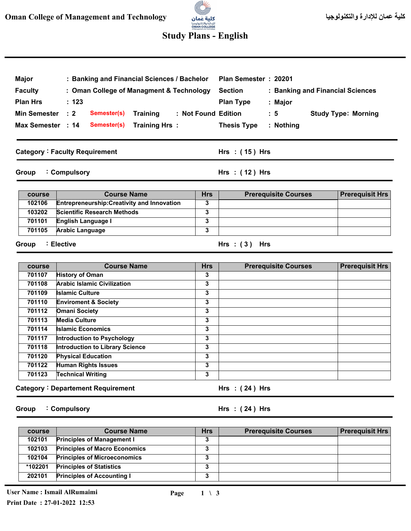# (C)

### **Study Plans - English**

| Major               | : Banking and Financial Sciences / Bachelor        |            | Plan Semester: 20201                               |                            |  |
|---------------------|----------------------------------------------------|------------|----------------------------------------------------|----------------------------|--|
| <b>Faculty</b>      | : Oman College of Managment & Technology           |            | <b>Section</b><br>: Banking and Financial Sciences |                            |  |
| <b>Plan Hrs</b>     | : 123                                              |            | <b>Plan Type</b><br>: Major                        |                            |  |
| <b>Min Semester</b> | $\therefore$ 2<br>Semester(s)<br><b>Training</b>   |            | : Not Found Edition<br>$\therefore$ 5              | <b>Study Type: Morning</b> |  |
| Max Semester : 14   | Semester(s)<br>Training Hrs:                       |            | <b>Thesis Type</b><br>: Nothing                    |                            |  |
|                     |                                                    |            |                                                    |                            |  |
|                     | <b>Category: Faculty Requirement</b>               |            | Hrs $:(15)$ Hrs                                    |                            |  |
| Group               | : Compulsory                                       |            | Hrs: (12) Hrs                                      |                            |  |
| course              | <b>Course Name</b>                                 | <b>Hrs</b> | <b>Prerequisite Courses</b>                        | <b>Prerequisit Hrs</b>     |  |
| 102106              | <b>Entrepreneurship: Creativity and Innovation</b> | 3          |                                                    |                            |  |
| 103202              | <b>Scientific Research Methods</b>                 | 3          |                                                    |                            |  |
| 701101              | English Language I                                 | 3          |                                                    |                            |  |
| 701105              | <b>Arabic Language</b>                             | 3          |                                                    |                            |  |
| Group<br>course     | : Elective<br><b>Course Name</b>                   | <b>Hrs</b> | Hrs: $(3)$ Hrs<br><b>Prerequisite Courses</b>      | <b>Prerequisit Hrs</b>     |  |
| 701107              | <b>History of Oman</b>                             | 3          |                                                    |                            |  |
|                     |                                                    |            |                                                    |                            |  |
| 701108              | <b>Arabic Islamic Civilization</b>                 | 3          |                                                    |                            |  |
| 701109              | <b>Islamic Culture</b>                             | 3          |                                                    |                            |  |
| 701110              | <b>Enviroment &amp; Society</b>                    | 3          |                                                    |                            |  |
| 701112              | <b>Omani Society</b>                               | 3          |                                                    |                            |  |
| 701113              | <b>Media Culture</b>                               | 3          |                                                    |                            |  |
| 701114              | <b>Islamic Economics</b>                           | 3          |                                                    |                            |  |
| 701117              | <b>Introduction to Psychology</b>                  | 3          |                                                    |                            |  |
| 701118              | <b>Introduction to Library Science</b>             | 3          |                                                    |                            |  |
| 701120              | <b>Physical Education</b>                          | 3          |                                                    |                            |  |
| 701122              | <b>Human Rights Issues</b>                         | 3          |                                                    |                            |  |
| 701123              | <b>Technical Writing</b>                           | 3          |                                                    |                            |  |
|                     | <b>Category: Departement Requirement</b>           |            | Hrs : (24) Hrs                                     |                            |  |
| Group               | : Compulsory                                       |            | Hrs: $(24)$ Hrs                                    |                            |  |

| course  | <b>Course Name</b>                   | <b>Hrs</b> | <b>Prerequisite Courses</b> | <b>Prerequisit Hrs</b> |
|---------|--------------------------------------|------------|-----------------------------|------------------------|
| 102101  | <b>Principles of Management I</b>    | 3          |                             |                        |
| 102103  | <b>Principles of Macro Economics</b> | 3          |                             |                        |
| 102104  | <b>Principles of Microeconomics</b>  |            |                             |                        |
| *102201 | <b>Principles of Statistics</b>      | 3          |                             |                        |
| 202101  | <b>Principles of Accounting I</b>    | 3          |                             |                        |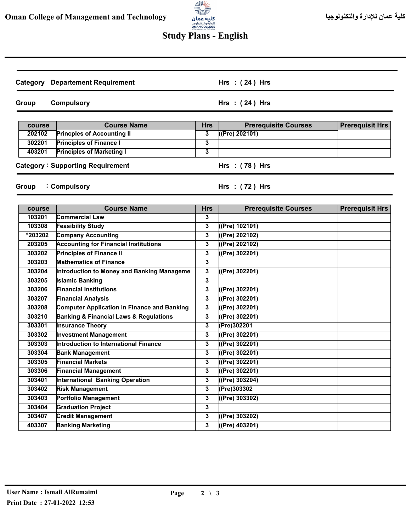## llit<sup>ar</sup>s للإدارة والتكنولوجيا<br>**OMAN COLLEGE**<br>«Managementard Technology

### **Study Plans - English**

| Category | <b>Departement Requirement</b>                        |              | Hrs: $(24)$ Hrs             |                        |
|----------|-------------------------------------------------------|--------------|-----------------------------|------------------------|
| Group    | <b>Compulsory</b>                                     |              | Hrs: (24) Hrs               |                        |
| course   | <b>Course Name</b>                                    | <b>Hrs</b>   | <b>Prerequisite Courses</b> | <b>Prerequisit Hrs</b> |
| 202102   | <b>Princples of Accounting II</b>                     | 3            | ((Pre) 202101)              |                        |
| 302201   | <b>Principles of Finance I</b>                        | 3            |                             |                        |
| 403201   | <b>Principles of Marketing I</b>                      | 3            |                             |                        |
|          | <b>Category: Supporting Requirement</b>               |              | Hrs : (78) Hrs              |                        |
| Group    | : Compulsory                                          |              | Hrs: $(72)$ Hrs             |                        |
| course   | <b>Course Name</b>                                    | <b>Hrs</b>   | <b>Prerequisite Courses</b> | <b>Prerequisit Hrs</b> |
| 103201   | <b>Commercial Law</b>                                 | 3            |                             |                        |
| 103308   | <b>Feasibility Study</b>                              | 3            | (Pre) 102101)               |                        |
| *203202  | <b>Company Accounting</b>                             | 3            | ((Pre) 202102)              |                        |
| 203205   | <b>Accounting for Financial Institutions</b>          | 3            | ((Pre) 202102)              |                        |
| 303202   | <b>Principles of Finance II</b>                       | 3            | ((Pre) 302201)              |                        |
| 303203   | <b>Mathematics of Finance</b>                         | 3            |                             |                        |
| 303204   | Introduction to Money and Banking Manageme            | 3            | ((Pre) 302201)              |                        |
| 303205   | <b>Islamic Banking</b>                                | 3            |                             |                        |
| 303206   | <b>Financial Institutions</b>                         | 3            | ((Pre) 302201)              |                        |
| 303207   | <b>Financial Analysis</b>                             | 3            | ((Pre) 302201)              |                        |
| 303208   | <b>Computer Application in Finance and Banking</b>    | 3            | ((Pre) 302201)              |                        |
| 303210   | <b>Banking &amp; Financial Laws &amp; Regulations</b> | 3            | ((Pre) 302201)              |                        |
| 303301   | Insurance Theory                                      | 3            | (Pre)302201                 |                        |
| 303302   | <b>Investment Management</b>                          | 3            | ((Pre) 302201)              |                        |
| 303303   | Introduction to International Finance                 | 3            | ((Pre) 302201)              |                        |
| 303304   | <b>Bank Management</b>                                | 3            | ((Pre) 302201)              |                        |
| 303305   | <b>Financial Markets</b>                              | 3            | ((Pre) 302201)              |                        |
| 303306   | <b>Financial Management</b>                           | 3            | ((Pre) 302201)              |                        |
| 303401   | International Banking Operation                       | 3            | ((Pre) 303204)              |                        |
| 303402   | <b>Risk Management</b>                                | 3            | (Pre) 303302                |                        |
| 303403   | <b>Portfolio Management</b>                           | 3            | ((Pre) 303302)              |                        |
| 303404   | <b>Graduation Project</b>                             | 3            |                             |                        |
| 303407   | <b>Credit Management</b>                              | $\mathbf{3}$ | ((Pre) 303202)              |                        |
| 403307   | <b>Banking Marketing</b>                              | 3            | $($ (Pre) 403201)           |                        |